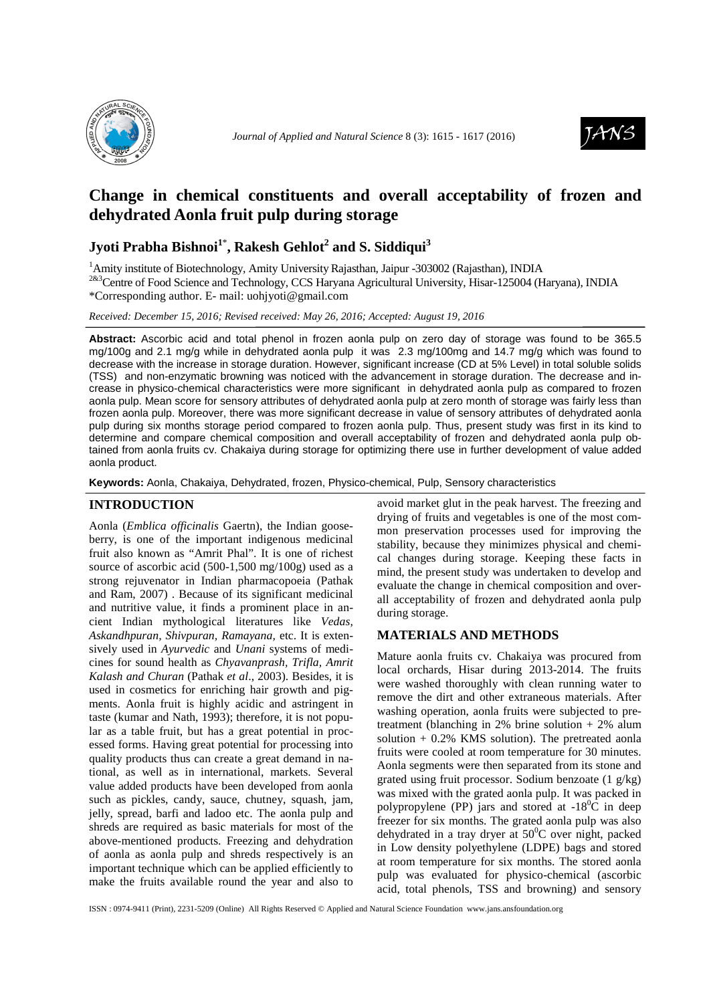



# **Change in chemical constituents and overall acceptability of frozen and dehydrated Aonla fruit pulp during storage**

## **Jyoti Prabha Bishnoi<sup>1</sup>**\* **, Rakesh Gehlot<sup>2</sup> and S. Siddiqui<sup>3</sup>**

<sup>1</sup>Amity institute of Biotechnology, Amity University Rajasthan, Jaipur -303002 (Rajasthan), INDIA

<sup>2&3</sup>Centre of Food Science and Technology, CCS Haryana Agricultural University, Hisar-125004 (Haryana), INDIA \*Corresponding author. E- mail: uohjyoti@gmail.com

*Received: December 15, 2016; Revised received: May 26, 2016; Accepted: August 19, 2016*

**Abstract:** Ascorbic acid and total phenol in frozen aonla pulp on zero day of storage was found to be 365.5 mg/100g and 2.1 mg/g while in dehydrated aonla pulp it was 2.3 mg/100mg and 14.7 mg/g which was found to decrease with the increase in storage duration. However, significant increase (CD at 5% Level) in total soluble solids (TSS) and non-enzymatic browning was noticed with the advancement in storage duration. The decrease and increase in physico-chemical characteristics were more significant in dehydrated aonla pulp as compared to frozen aonla pulp. Mean score for sensory attributes of dehydrated aonla pulp at zero month of storage was fairly less than frozen aonla pulp. Moreover, there was more significant decrease in value of sensory attributes of dehydrated aonla pulp during six months storage period compared to frozen aonla pulp. Thus, present study was first in its kind to determine and compare chemical composition and overall acceptability of frozen and dehydrated aonla pulp obtained from aonla fruits cv. Chakaiya during storage for optimizing there use in further development of value added aonla product.

**Keywords:** Aonla, Chakaiya, Dehydrated, frozen, Physico-chemical, Pulp, Sensory characteristics

## **INTRODUCTION**

Aonla (*Emblica officinalis* Gaertn), the Indian gooseberry, is one of the important indigenous medicinal fruit also known as "Amrit Phal". It is one of richest source of ascorbic acid (500-1,500 mg/100g) used as a strong rejuvenator in Indian pharmacopoeia (Pathak and Ram, 2007) . Because of its significant medicinal and nutritive value, it finds a prominent place in ancient Indian mythological literatures like *Vedas, Askandhpuran, Shivpuran, Ramayana,* etc. It is extensively used in *Ayurvedic* and *Unani* systems of medicines for sound health as *Chyavanprash, Trifla, Amrit Kalash and Churan* (Pathak *et al*., 2003). Besides, it is used in cosmetics for enriching hair growth and pigments. Aonla fruit is highly acidic and astringent in taste (kumar and Nath, 1993); therefore, it is not popular as a table fruit, but has a great potential in processed forms. Having great potential for processing into quality products thus can create a great demand in national, as well as in international, markets. Several value added products have been developed from aonla such as pickles, candy, sauce, chutney, squash, jam, jelly, spread, barfi and ladoo etc. The aonla pulp and shreds are required as basic materials for most of the above-mentioned products. Freezing and dehydration of aonla as aonla pulp and shreds respectively is an important technique which can be applied efficiently to make the fruits available round the year and also to avoid market glut in the peak harvest. The freezing and drying of fruits and vegetables is one of the most common preservation processes used for improving the stability, because they minimizes physical and chemical changes during storage. Keeping these facts in mind, the present study was undertaken to develop and evaluate the change in chemical composition and overall acceptability of frozen and dehydrated aonla pulp during storage.

## **MATERIALS AND METHODS**

Mature aonla fruits cv. Chakaiya was procured from local orchards, Hisar during 2013-2014. The fruits were washed thoroughly with clean running water to remove the dirt and other extraneous materials. After washing operation, aonla fruits were subjected to pretreatment (blanching in 2% brine solution + 2% alum solution  $+$  0.2% KMS solution). The pretreated aonla fruits were cooled at room temperature for 30 minutes. Aonla segments were then separated from its stone and grated using fruit processor. Sodium benzoate  $(1 \text{ g/kg})$ was mixed with the grated aonla pulp. It was packed in polypropylene (PP) jars and stored at  $-18^{\circ}$ C in deep freezer for six months. The grated aonla pulp was also dehydrated in a tray dryer at  $50^{\circ}$ C over night, packed in Low density polyethylene (LDPE) bags and stored at room temperature for six months. The stored aonla pulp was evaluated for physico-chemical (ascorbic acid, total phenols, TSS and browning) and sensory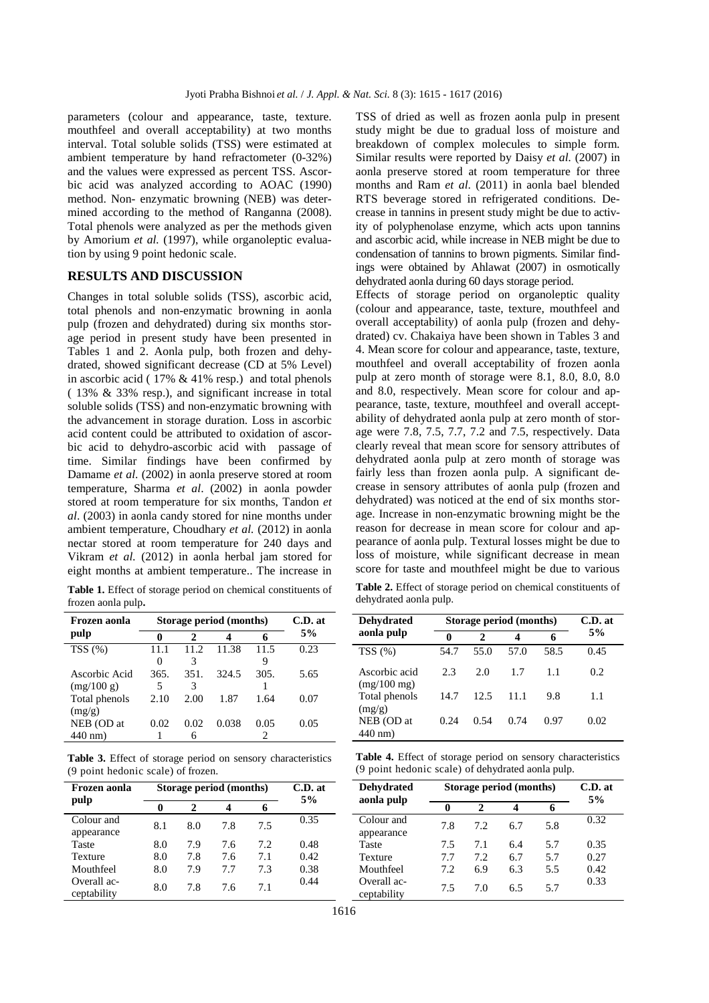parameters (colour and appearance, taste, texture. mouthfeel and overall acceptability) at two months interval. Total soluble solids (TSS) were estimated at ambient temperature by hand refractometer (0-32%) and the values were expressed as percent TSS. Ascorbic acid was analyzed according to AOAC (1990) method. Non- enzymatic browning (NEB) was determined according to the method of Ranganna (2008). Total phenols were analyzed as per the methods given by Amorium *et al.* (1997), while organoleptic evaluation by using 9 point hedonic scale.

#### **RESULTS AND DISCUSSION**

Changes in total soluble solids (TSS), ascorbic acid, total phenols and non-enzymatic browning in aonla pulp (frozen and dehydrated) during six months storage period in present study have been presented in Tables 1 and 2. Aonla pulp, both frozen and dehydrated, showed significant decrease (CD at 5% Level) in ascorbic acid ( 17% & 41% resp.) and total phenols ( 13% & 33% resp.), and significant increase in total soluble solids (TSS) and non-enzymatic browning with the advancement in storage duration. Loss in ascorbic acid content could be attributed to oxidation of ascorbic acid to dehydro-ascorbic acid with passage of time. Similar findings have been confirmed by Damame *et al*. (2002) in aonla preserve stored at room temperature, Sharma *et al*. (2002) in aonla powder stored at room temperature for six months, Tandon *et al*. (2003) in aonla candy stored for nine months under ambient temperature, Choudhary *et al.* (2012) in aonla nectar stored at room temperature for 240 days and Vikram *et al.* (2012) in aonla herbal jam stored for eight months at ambient temperature.. The increase in

**Table 1.** Effect of storage period on chemical constituents of frozen aonla pulp**.**

| Frozen aonla  | Storage period (months) |      |       |      | C.D. at |
|---------------|-------------------------|------|-------|------|---------|
| pulp          | 0                       | 2    |       |      | 5%      |
| TSS(%)        |                         | 11.2 | 11.38 | 11.5 | 0.23    |
|               | 0                       | 3    |       | 9    |         |
| Ascorbic Acid | 365.                    | 351. | 324.5 | 305. | 5.65    |
| (mg/100 g)    | 5                       | 3    |       |      |         |
| Total phenols | 2.10                    | 2.00 | 1.87  | 1.64 | 0.07    |
| (mg/g)        |                         |      |       |      |         |
| NEB (OD at    | 0.02                    | 0.02 | 0.038 | 0.05 | 0.05    |
| $440$ nm)     |                         | 6    |       | っ    |         |

**Table 3.** Effect of storage period on sensory characteristics (9 point hedonic scale) of frozen.

| Frozen aonla               | Storage period (months) |     |     |      | C.D. at<br>5% |
|----------------------------|-------------------------|-----|-----|------|---------------|
| pulp                       | 0                       |     | 4   | 6    |               |
| Colour and<br>appearance   | 8.1                     | 8.0 | 7.8 | 7.5  | 0.35          |
| Taste                      | 8.0                     | 7.9 | 7.6 | 7.2. | 0.48          |
| Texture                    | 8.0                     | 7.8 | 7.6 | 7.1  | 0.42          |
| Mouthfeel                  | 8.0                     | 7.9 | 7.7 | 7.3  | 0.38          |
| Overall ac-<br>ceptability | 8.0                     | 7.8 | 7.6 | 7.1  | 0.44          |

TSS of dried as well as frozen aonla pulp in present study might be due to gradual loss of moisture and breakdown of complex molecules to simple form. Similar results were reported by Daisy *et al.* (2007) in aonla preserve stored at room temperature for three months and Ram *et al*. (2011) in aonla bael blended RTS beverage stored in refrigerated conditions. Decrease in tannins in present study might be due to activity of polyphenolase enzyme, which acts upon tannins and ascorbic acid, while increase in NEB might be due to condensation of tannins to brown pigments. Similar findings were obtained by Ahlawat (2007) in osmotically dehydrated aonla during 60 days storage period.

Effects of storage period on organoleptic quality (colour and appearance, taste, texture, mouthfeel and overall acceptability) of aonla pulp (frozen and dehydrated) cv. Chakaiya have been shown in Tables 3 and 4. Mean score for colour and appearance, taste, texture, mouthfeel and overall acceptability of frozen aonla pulp at zero month of storage were 8.1, 8.0, 8.0, 8.0 and 8.0, respectively. Mean score for colour and appearance, taste, texture, mouthfeel and overall acceptability of dehydrated aonla pulp at zero month of storage were 7.8, 7.5, 7.7, 7.2 and 7.5, respectively. Data clearly reveal that mean score for sensory attributes of dehydrated aonla pulp at zero month of storage was fairly less than frozen aonla pulp. A significant decrease in sensory attributes of aonla pulp (frozen and dehydrated) was noticed at the end of six months storage. Increase in non-enzymatic browning might be the reason for decrease in mean score for colour and appearance of aonla pulp. Textural losses might be due to loss of moisture, while significant decrease in mean score for taste and mouthfeel might be due to various **Table 2.** Effect of storage period on chemical constituents of

| <b>Dehydrated</b>              | Storage period (months) |              |      |      | $C.D.$ at |
|--------------------------------|-------------------------|--------------|------|------|-----------|
| aonla pulp                     | 0                       | $\mathbf{z}$ | 4    | 6    | 5%        |
| TSS(%)                         | 54.7                    | 55.0         | 57.0 | 58.5 | 0.45      |
| Ascorbic acid<br>$(mg/100$ mg) | 2.3                     | 2.0          | 1.7  | 11   | 0.2       |
| Total phenols<br>(mg/g)        | 14.7                    | 12.5         | 11.1 | 9.8  | 1.1       |
| NEB (OD at<br>440 nm)          | 0.24                    | 0.54         | 0.74 | 0.97 | 0.02      |

dehydrated aonla pulp.

**Table 4.** Effect of storage period on sensory characteristics (9 point hedonic scale) of dehydrated aonla pulp.

| <b>Dehydrated</b><br>aonla pulp |     | Storage period (months)     |     |     |      |
|---------------------------------|-----|-----------------------------|-----|-----|------|
|                                 | 0   | $\mathcal{D}_{\mathcal{A}}$ |     |     | 5%   |
| Colour and<br>appearance        | 7.8 | 7.2                         | 6.7 | 5.8 | 0.32 |
| Taste                           | 7.5 | 7.1                         | 6.4 | 5.7 | 0.35 |
| Texture                         | 7.7 | 7.2                         | 6.7 | 5.7 | 0.27 |
| Mouthfeel                       | 7.2 | 6.9                         | 6.3 | 5.5 | 0.42 |
| Overall ac-<br>ceptability      | 7.5 | 7.0                         | 6.5 | 5.7 | 0.33 |